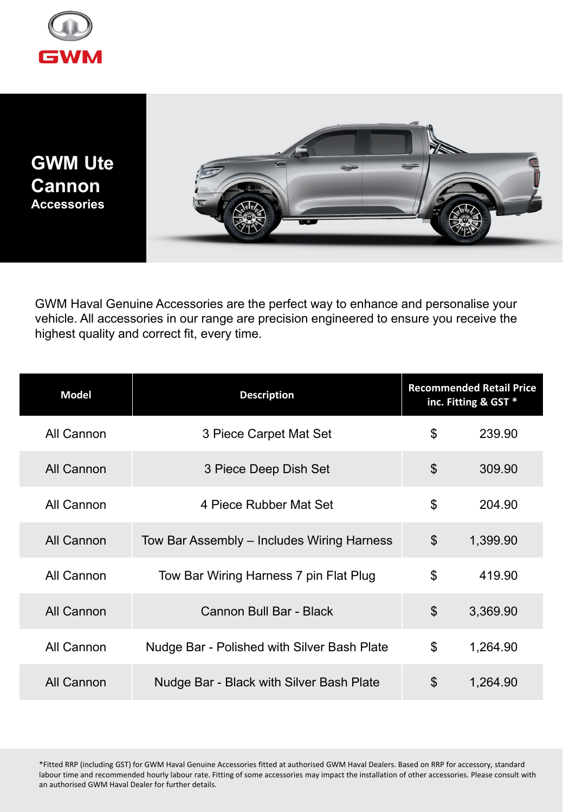

**GWM Ute Cannon Accessories**



GWM Haval Genuine Accessories are the perfect way to enhance and personalise your vehicle. All accessories in our range are precision engineered to ensure you receive the highest quality and correct fit, every time.

| <b>Model</b> | <b>Description</b>                          | <b>Recommended Retail Price</b><br>inc. Fitting & GST * |          |
|--------------|---------------------------------------------|---------------------------------------------------------|----------|
| All Cannon   | 3 Piece Carpet Mat Set                      | \$                                                      | 239.90   |
| All Cannon   | 3 Piece Deep Dish Set                       | \$                                                      | 309.90   |
| All Cannon   | 4 Piece Rubber Mat Set                      | \$                                                      | 204.90   |
| All Cannon   | Tow Bar Assembly – Includes Wiring Harness  | $\boldsymbol{\mathsf{S}}$                               | 1,399.90 |
| All Cannon   | Tow Bar Wiring Harness 7 pin Flat Plug      | \$                                                      | 419.90   |
| All Cannon   | Cannon Bull Bar - Black                     | \$                                                      | 3,369.90 |
| All Cannon   | Nudge Bar - Polished with Silver Bash Plate | \$                                                      | 1,264.90 |
| All Cannon   | Nudge Bar - Black with Silver Bash Plate    | \$                                                      | 1,264.90 |

\*Fitted RRP (including GST) for GWM Haval Genuine Accessories fitted at authorised GWM Haval Dealers. Based on RRP for accessory, standard labour time and recommended hourly labour rate. Fitting of some accessories may impact the installation of other accessories. Please consult with an authorised GWM Haval Dealer for further details.